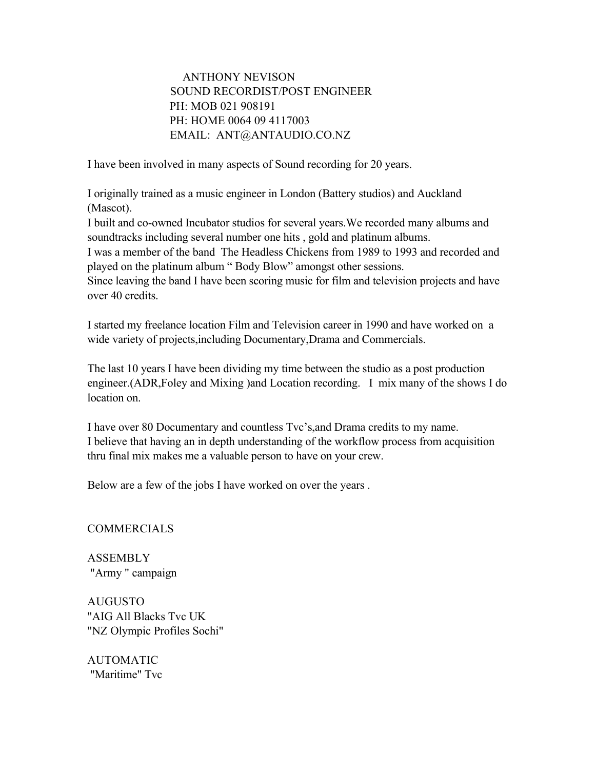## ANTHONY NEVISON SOUND RECORDIST/POST ENGINEER PH: MOB 021 908191 PH: HOME 0064 09 4117003 EMAIL: ANT@ANTAUDIO.CO.NZ

I have been involved in many aspects of Sound recording for 20 years.

I originally trained as a music engineer in London (Battery studios) and Auckland (Mascot).

I built and co-owned Incubator studios for several years.We recorded many albums and soundtracks including several number one hits , gold and platinum albums.

I was a member of the band The Headless Chickens from 1989 to 1993 and recorded and played on the platinum album " Body Blow" amongst other sessions.

Since leaving the band I have been scoring music for film and television projects and have over 40 credits.

I started my freelance location Film and Television career in 1990 and have worked on a wide variety of projects,including Documentary,Drama and Commercials.

The last 10 years I have been dividing my time between the studio as a post production engineer.(ADR,Foley and Mixing )and Location recording. I mix many of the shows I do location on.

I have over 80 Documentary and countless Tvc's,and Drama credits to my name. I believe that having an in depth understanding of the workflow process from acquisition thru final mix makes me a valuable person to have on your crew.

Below are a few of the jobs I have worked on over the years .

COMMERCIALS

ASSEMBLY "Army " campaign

AUGUSTO "AIG All Blacks Tvc UK "NZ Olympic Profiles Sochi"

AUTOMATIC "Maritime" Tvc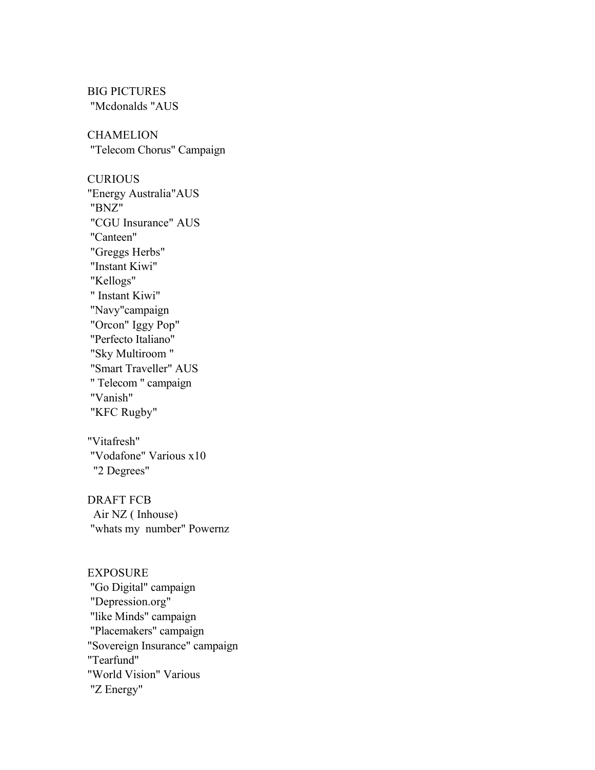BIG PICTURES "Mcdonalds "AUS

**CHAMELION** "Telecom Chorus" Campaign

**CURIOUS** "Energy Australia"AUS "BNZ" "CGU Insurance" AUS "Canteen" "Greggs Herbs" "Instant Kiwi" "Kellogs" " Instant Kiwi" "Navy"campaign "Orcon" Iggy Pop" "Perfecto Italiano" "Sky Multiroom " "Smart Traveller" AUS " Telecom " campaign "Vanish" "KFC Rugby"

"Vitafresh" "Vodafone" Various x10 "2 Degrees"

DRAFT FCB Air NZ ( Inhouse) "whats my number" Powernz

EXPOSURE "Go Digital" campaign "Depression.org" "like Minds" campaign "Placemakers" campaign "Sovereign Insurance" campaign "Tearfund" "World Vision" Various "Z Energy"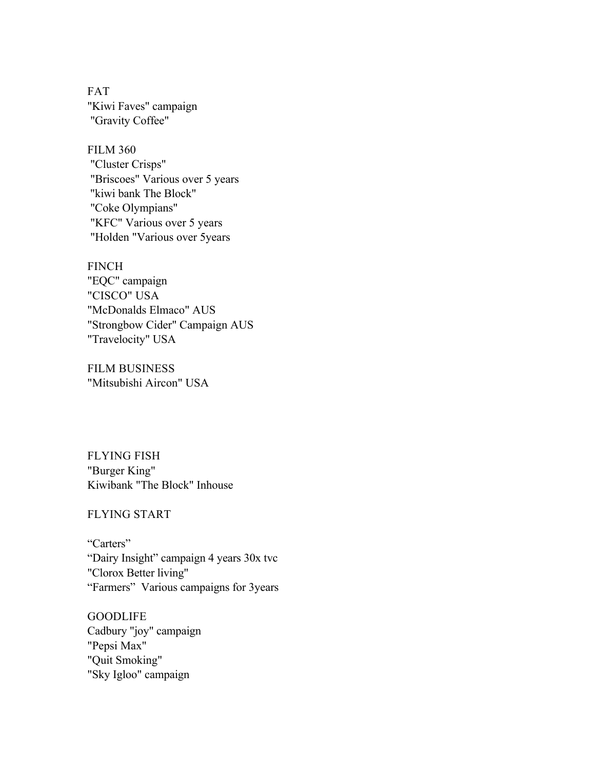FAT "Kiwi Faves" campaign "Gravity Coffee"

FILM 360 "Cluster Crisps" "Briscoes" Various over 5 years "kiwi bank The Block" "Coke Olympians" "KFC" Various over 5 years "Holden "Various over 5years

FINCH "EQC" campaign "CISCO" USA "McDonalds Elmaco" AUS "Strongbow Cider" Campaign AUS "Travelocity" USA

FILM BUSINESS "Mitsubishi Aircon" USA

FLYING FISH "Burger King" Kiwibank "The Block" Inhouse

FLYING START

"Carters" "Dairy Insight" campaign 4 years 30x tvc "Clorox Better living" "Farmers" Various campaigns for 3years

**GOODLIFE** Cadbury "joy" campaign "Pepsi Max" "Quit Smoking" "Sky Igloo" campaign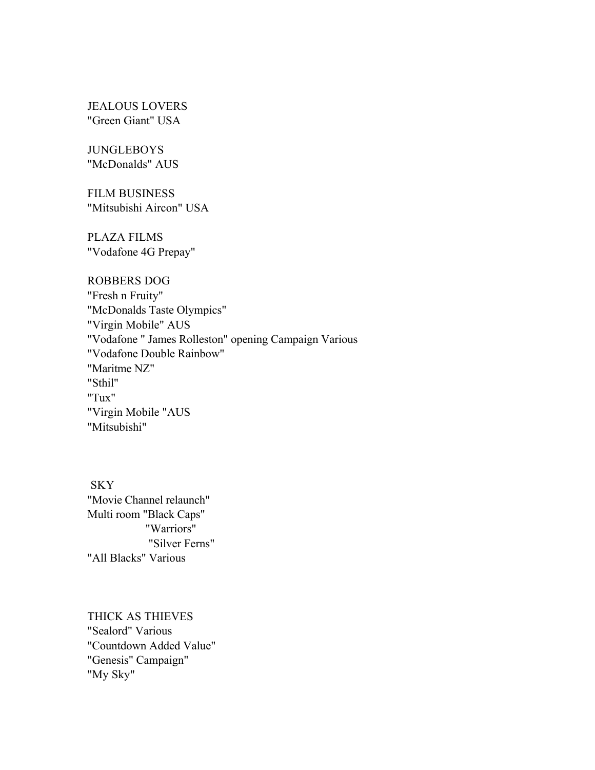JEALOUS LOVERS "Green Giant" USA

**JUNGLEBOYS** "McDonalds" AUS

FILM BUSINESS "Mitsubishi Aircon" USA

PLAZA FILMS "Vodafone 4G Prepay"

## ROBBERS DOG

"Fresh n Fruity" "McDonalds Taste Olympics" "Virgin Mobile" AUS "Vodafone " James Rolleston" opening Campaign Various "Vodafone Double Rainbow" "Maritme NZ" "Sthil" "Tux" "Virgin Mobile "AUS "Mitsubishi"

**SKY** "Movie Channel relaunch" Multi room "Black Caps" "Warriors" "Silver Ferns" "All Blacks" Various

THICK AS THIEVES "Sealord" Various "Countdown Added Value" "Genesis" Campaign" "My Sky"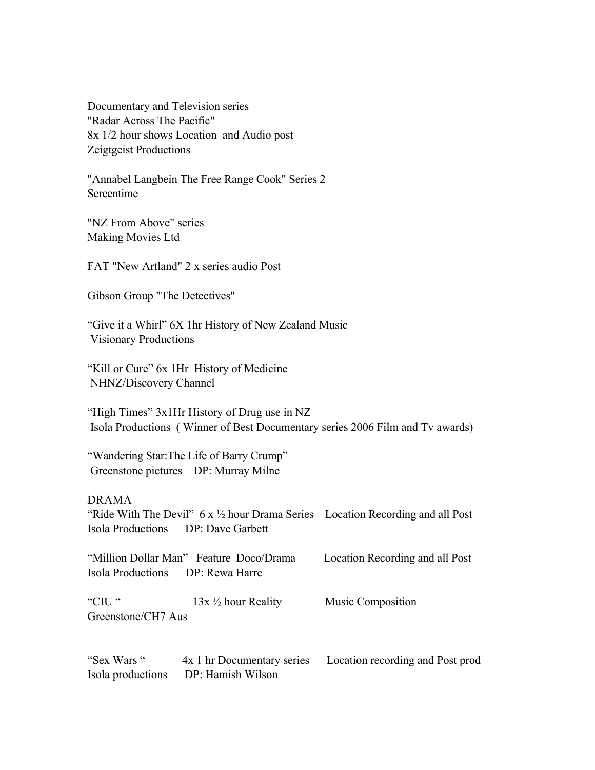Documentary and Television series "Radar Across The Pacific" 8x 1/2 hour shows Location and Audio post Zeigtgeist Productions

"Annabel Langbein The Free Range Cook" Series 2 Screentime

"NZ From Above" series Making Movies Ltd

FAT "New Artland" 2 x series audio Post

Gibson Group "The Detectives"

"Give it a Whirl" 6X 1hr History of New Zealand Music Visionary Productions

"Kill or Cure" 6x 1Hr History of Medicine NHNZ/Discovery Channel

"High Times" 3x1Hr History of Drug use in NZ Isola Productions ( Winner of Best Documentary series 2006 Film and Tv awards)

"Wandering Star:The Life of Barry Crump" Greenstone pictures DP: Murray Milne

## DRAMA

"Ride With The Devil"  $6 \times \frac{1}{2}$  hour Drama Series Location Recording and all Post Isola Productions DP: Dave Garbett

"Million Dollar Man" Feature Doco/Drama Location Recording and all Post Isola Productions DP: Rewa Harre

"CIU" 13x <sup>1</sup>/<sub>2</sub> hour Reality Music Composition Greenstone/CH7 Aus

"Sex Wars " 4x 1 hr Documentary series Location recording and Post prod Isola productions DP: Hamish Wilson